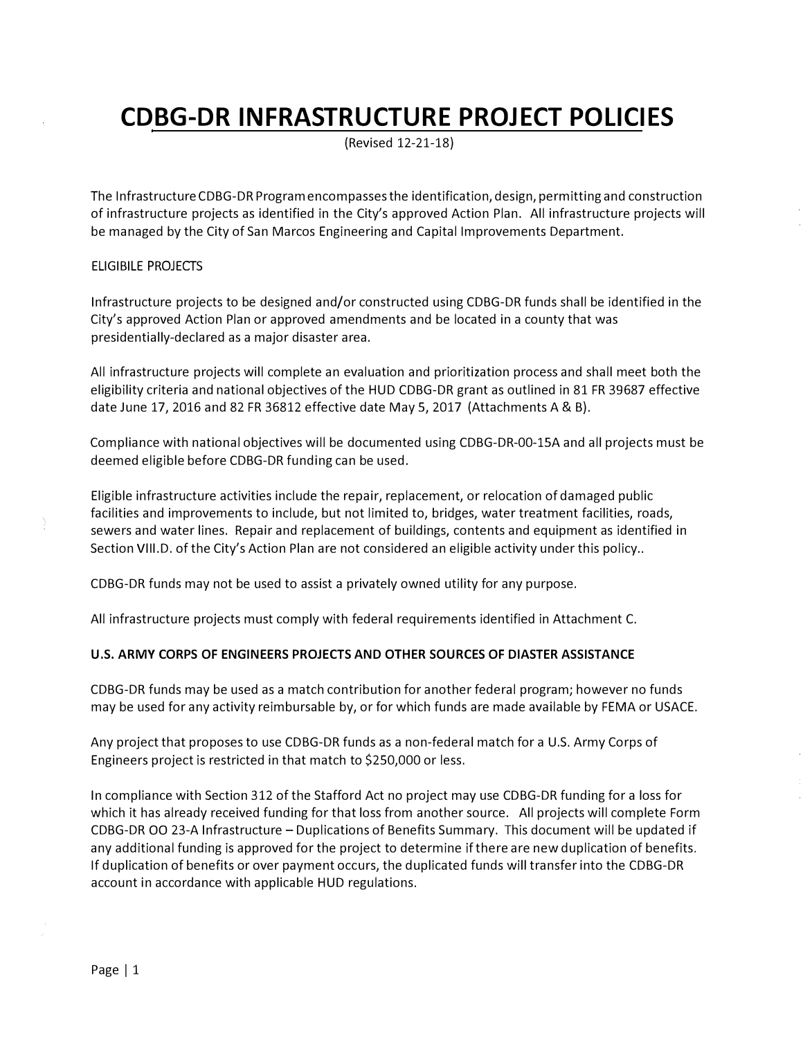# **CDBG-DR INFRASTRUCTURE PROJECT POLICIES**

(Revised 12-21-18)

The InfrastructureCDBG-DR Programencompassesthe identification, design, permitting and construction of infrastructure projects as identified in the City's approved Action Plan. All infrastructure projects will be managed by the City of San Marcos Engineering and Capital Improvements Department.

## ELIGIBILE PROJECTS

Infrastructure projects to be designed and/or constructed using CDBG-DR funds shall be identified in the City's approved Action Plan or approved amendments and be located in a county that was presidentially-declared as a major disaster area.

All infrastructure projects will complete an evaluation and prioritization process and shall meet both the eligibility criteria and national objectives of the HUD CDBG-DR grant as outlined in 81 FR 39687 effective date June 17, 2016 and 82 FR 36812 effective date May 5, 2017 (Attachments A & B).

Compliance with national objectives will be documented using CDBG-DR-00-lSA and all projects must be deemed eligible before CDBG-DR funding can be used.

Eligible infrastructure activities include the repair, replacement, or relocation of damaged public facilities and improvements to include, but not limited to, bridges, water treatment facilities, roads, sewers and water lines. Repair and replacement of buildings, contents and equipment as identified in Section VIII.D. of the City's Action Plan are not considered an eligible activity under this policy..

CDBG-DR funds may not be used to assist a privately owned utility for any purpose.

All infrastructure projects must comply with federal requirements identified in Attachment C.

#### **U.S. ARMY CORPS OF ENGINEERS PROJECTS AND OTHER SOURCES OF DIASTER ASSISTANCE**

CDBG-DR funds may be used as a match contribution for another federal program; however no funds may be used for any activity reimbursable by, or for which funds are made available by FEMA or USACE.

Any project that proposes to use CDBG-DR funds as a non-federal match for a U.S. Army Corps of Engineers project is restricted in that match to \$250,000 or less.

In compliance with Section 312 of the Stafford Act no project may use CDBG-DR funding for a loss for which it has already received funding for that loss from another source. All projects will complete Form CDBG-DR 00 23-A Infrastructure - Duplications of Benefits Summary. This document will be updated if any additional funding is approved for the project to determine ifthere are new duplication of benefits. If duplication of benefits or over payment occurs, the duplicated funds will transfer into the CDBG-DR account in accordance with applicable HUD regulations.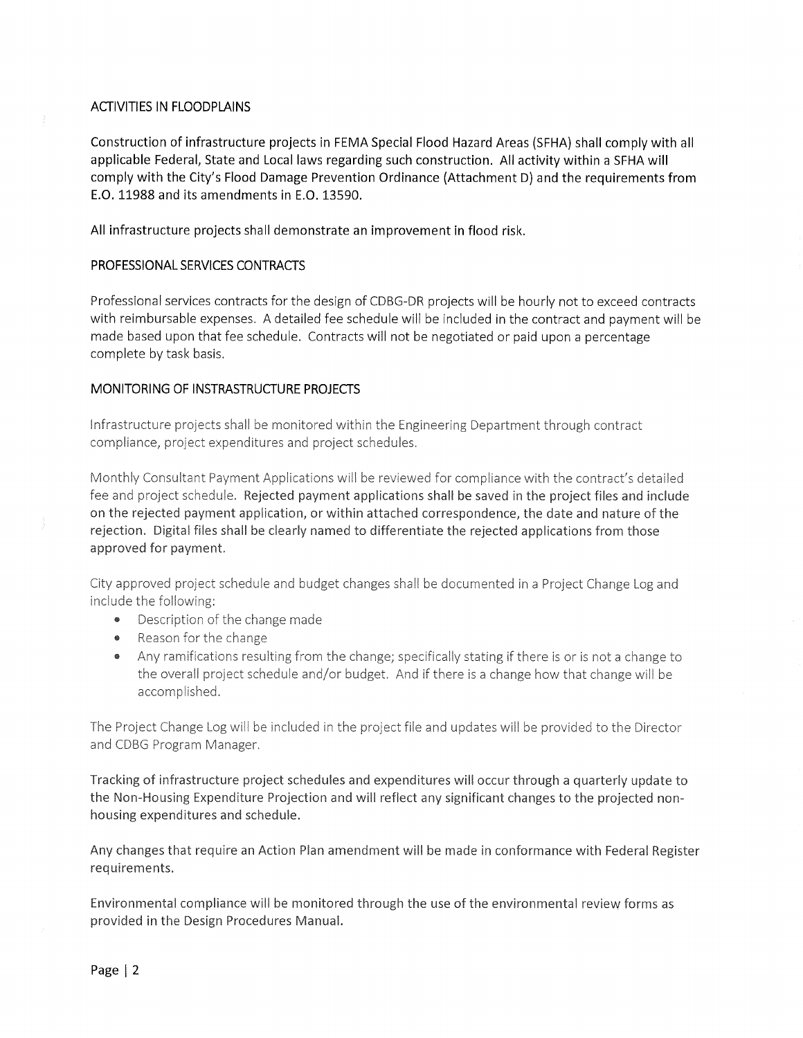# **ACTIVITIES IN FLOODPLAINS**

Construction of infrastructure projects in FEMA Special Flood Hazard Areas (SFHA) shall comply with all applicable Federal, State and Local laws regarding such construction. All activity within a SFHA will comply with the City's Flood Damage Prevention Ordinance (Attachment D) and the requirements from E.O. 11988 and its amendments in E.O. 13590.

All infrastructure projects shall demonstrate an improvement in flood risk.

# PROFESSIONAL SERVICES CONTRACTS

Professional services contracts for the design of CDBG-DR projects will be hourly not to exceed contracts with reimbursable expenses. A detailed fee schedule will be included in the contract and payment will be made based upon that fee schedule. Contracts will not be negotiated or paid upon a percentage complete by task basis.

# MONITORING OF INSTRASTRUCTURE PROJECTS

Infrastructure projects shall be monitored within the Engineering Department through contract compliance, project expenditures and project schedules.

Monthly Consultant Payment Applications will be reviewed for compliance with the contract's detailed fee and project schedule. Rejected payment applications shall be saved in the project files and include on the rejected payment application, or within attached correspondence, the date and nature of the rejection. Digital files shall be clearly named to differentiate the rejected applications from those approved for payment.

City approved project schedule and budget changes shall be documented in a Project Change Log and include the following:

- Description of the change made
- Reason for the change
- Any ramifications resulting from the change; specifically stating if there is or is not a change to the overall project schedule and/or budget. And if there is a change how that change will be accomplished.

The Project Change Log will be included in the project file and updates will be provided to the Director and CDBG Program Manager.

Tracking of infrastructure project schedules and expenditures will occur through a quarterly update to the Non-Housing Expenditure Projection and will reflect any significant changes to the projected nonhousing expenditures and schedule.

Any changes that require an Action Plan amendment will be made in conformance with Federal Register requirements.

Environmental compliance will be monitored through the use of the environmental review forms as provided in the Design Procedures Manual.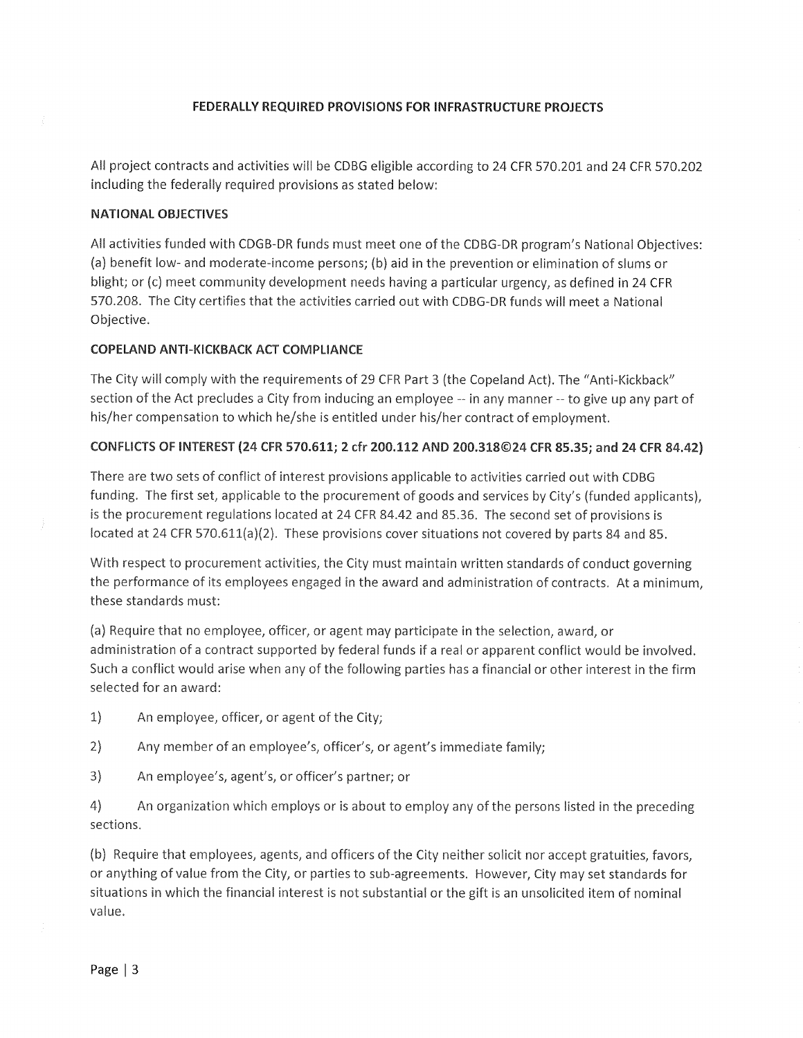# FEDERALLY REQUIRED PROVISIONS FOR INFRASTRUCTURE PROJECTS

All project contracts and activities will be CDBG eligible according to 24 CFR 570.201 and 24 CFR 570.202 including the federally required provisions as stated below:

## **NATIONAL OBJECTIVES**

All activities funded with CDGB-DR funds must meet one of the CDBG-DR program's National Objectives: (a) benefit low- and moderate-income persons; (b) aid in the prevention or elimination of slums or blight; or (c) meet community development needs having a particular urgency, as defined in 24 CFR 570.208. The City certifies that the activities carried out with CDBG-DR funds will meet a National Objective.

#### **COPELAND ANTI-KICKBACK ACT COMPLIANCE**

The City will comply with the requirements of 29 CFR Part 3 (the Copeland Act). The "Anti-Kickback" section of the Act precludes a City from inducing an employee -- in any manner -- to give up any part of his/her compensation to which he/she is entitled under his/her contract of employment.

#### CONFLICTS OF INTEREST (24 CFR 570.611; 2 cfr 200.112 AND 200.318©24 CFR 85.35; and 24 CFR 84.42)

There are two sets of conflict of interest provisions applicable to activities carried out with CDBG funding. The first set, applicable to the procurement of goods and services by City's (funded applicants), is the procurement regulations located at 24 CFR 84.42 and 85.36. The second set of provisions is located at 24 CFR 570.611(a)(2). These provisions cover situations not covered by parts 84 and 85.

With respect to procurement activities, the City must maintain written standards of conduct governing the performance of its employees engaged in the award and administration of contracts. At a minimum, these standards must:

(a) Require that no employee, officer, or agent may participate in the selection, award, or administration of a contract supported by federal funds if a real or apparent conflict would be involved. Such a conflict would arise when any of the following parties has a financial or other interest in the firm selected for an award:

 $1)$ An employee, officer, or agent of the City;

 $2)$ Any member of an employee's, officer's, or agent's immediate family;

 $3)$ An employee's, agent's, or officer's partner; or

 $4)$ An organization which employs or is about to employ any of the persons listed in the preceding sections.

(b) Require that employees, agents, and officers of the City neither solicit nor accept gratuities, favors, or anything of value from the City, or parties to sub-agreements. However, City may set standards for situations in which the financial interest is not substantial or the gift is an unsolicited item of nominal value.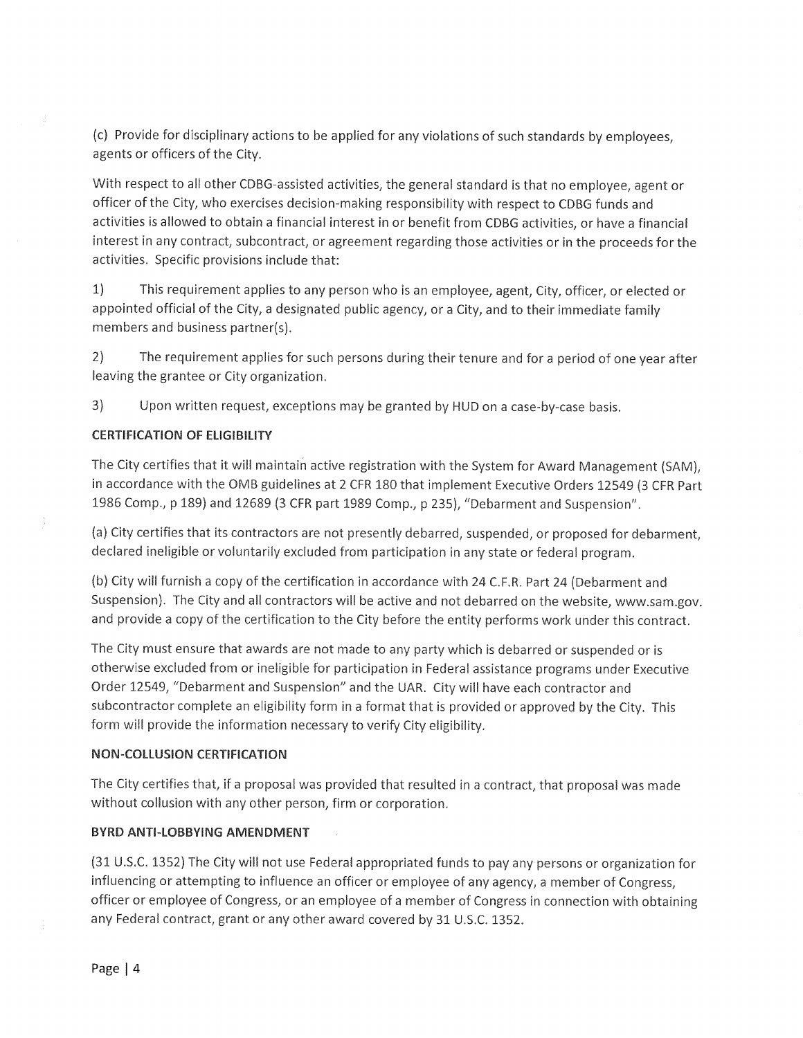(c) Provide for disciplinary actions to be applied for any violations of such standards by employees, agents or officers of the City.

With respect to all other CDBG-assisted activities, the general standard is that no employee, agent or officer of the City, who exercises decision-making responsibility with respect to CDBG funds and activities is allowed to obtain a financial interest in or benefit from CDBG activities, or have a financial interest in any contract, subcontract, or agreement regarding those activities or in the proceeds for the activities. Specific provisions include that:

 $1)$ This requirement applies to any person who is an employee, agent, City, officer, or elected or appointed official of the City, a designated public agency, or a City, and to their immediate family members and business partner(s).

 $2)$ The requirement applies for such persons during their tenure and for a period of one year after leaving the grantee or City organization.

 $3)$ Upon written request, exceptions may be granted by HUD on a case-by-case basis.

## **CERTIFICATION OF ELIGIBILITY**

The City certifies that it will maintain active registration with the System for Award Management (SAM), in accordance with the OMB guidelines at 2 CFR 180 that implement Executive Orders 12549 (3 CFR Part 1986 Comp., p 189) and 12689 (3 CFR part 1989 Comp., p 235), "Debarment and Suspension".

(a) City certifies that its contractors are not presently debarred, suspended, or proposed for debarment. declared ineligible or voluntarily excluded from participation in any state or federal program.

(b) City will furnish a copy of the certification in accordance with 24 C.F.R. Part 24 (Debarment and Suspension). The City and all contractors will be active and not debarred on the website, www.sam.gov. and provide a copy of the certification to the City before the entity performs work under this contract.

The City must ensure that awards are not made to any party which is debarred or suspended or is otherwise excluded from or ineligible for participation in Federal assistance programs under Executive Order 12549, "Debarment and Suspension" and the UAR. City will have each contractor and subcontractor complete an eligibility form in a format that is provided or approved by the City. This form will provide the information necessary to verify City eligibility.

#### **NON-COLLUSION CERTIFICATION**

The City certifies that, if a proposal was provided that resulted in a contract, that proposal was made without collusion with any other person, firm or corporation.

# **BYRD ANTI-LOBBYING AMENDMENT**

(31 U.S.C. 1352) The City will not use Federal appropriated funds to pay any persons or organization for influencing or attempting to influence an officer or employee of any agency, a member of Congress, officer or employee of Congress, or an employee of a member of Congress in connection with obtaining any Federal contract, grant or any other award covered by 31 U.S.C. 1352.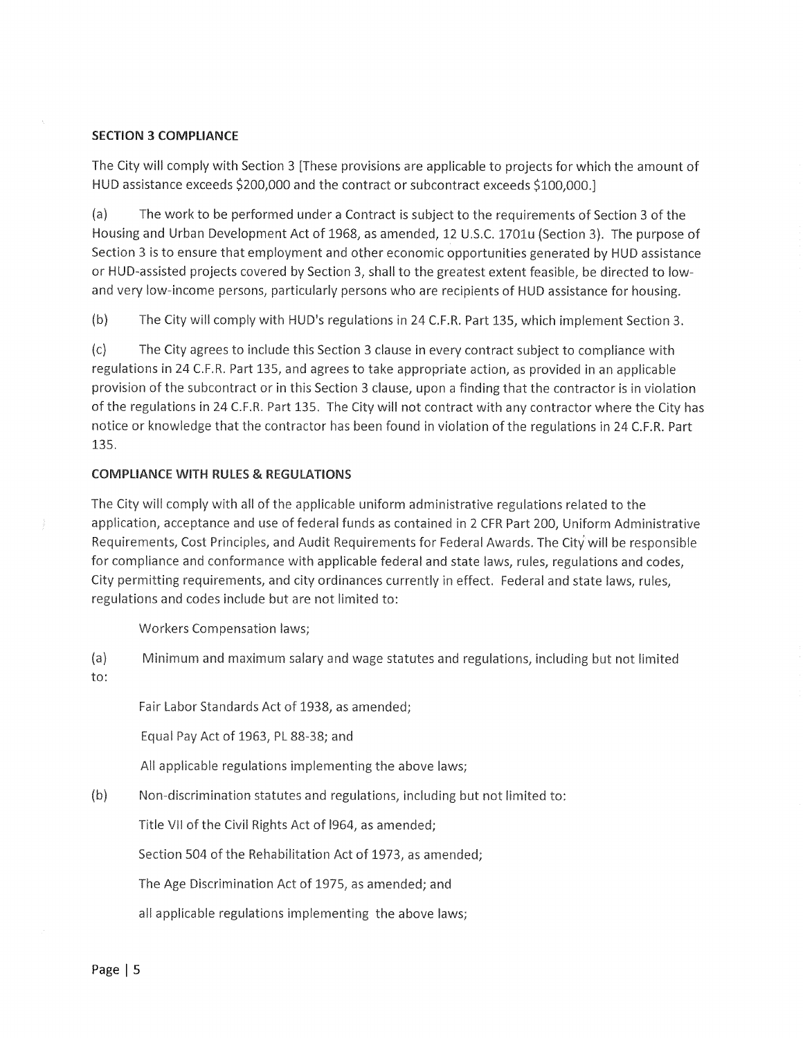#### **SECTION 3 COMPLIANCE**

The City will comply with Section 3 [These provisions are applicable to projects for which the amount of HUD assistance exceeds \$200,000 and the contract or subcontract exceeds \$100,000.]

 $(a)$ The work to be performed under a Contract is subject to the requirements of Section 3 of the Housing and Urban Development Act of 1968, as amended, 12 U.S.C. 1701u (Section 3). The purpose of Section 3 is to ensure that employment and other economic opportunities generated by HUD assistance or HUD-assisted projects covered by Section 3, shall to the greatest extent feasible, be directed to lowand very low-income persons, particularly persons who are recipients of HUD assistance for housing.

 $(b)$ The City will comply with HUD's regulations in 24 C.F.R. Part 135, which implement Section 3.

 $(c)$ The City agrees to include this Section 3 clause in every contract subject to compliance with regulations in 24 C.F.R. Part 135, and agrees to take appropriate action, as provided in an applicable provision of the subcontract or in this Section 3 clause, upon a finding that the contractor is in violation of the regulations in 24 C.F.R. Part 135. The City will not contract with any contractor where the City has notice or knowledge that the contractor has been found in violation of the regulations in 24 C.F.R. Part 135.

#### **COMPLIANCE WITH RULES & REGULATIONS**

The City will comply with all of the applicable uniform administrative regulations related to the application, acceptance and use of federal funds as contained in 2 CFR Part 200, Uniform Administrative Requirements, Cost Principles, and Audit Requirements for Federal Awards. The City will be responsible for compliance and conformance with applicable federal and state laws, rules, regulations and codes, City permitting requirements, and city ordinances currently in effect. Federal and state laws, rules, regulations and codes include but are not limited to:

**Workers Compensation laws;** 

 $(a)$ Minimum and maximum salary and wage statutes and regulations, including but not limited to:

Fair Labor Standards Act of 1938, as amended;

Equal Pay Act of 1963, PL 88-38; and

All applicable regulations implementing the above laws;

 $(b)$ Non-discrimination statutes and regulations, including but not limited to:

Title VII of the Civil Rights Act of 1964, as amended;

Section 504 of the Rehabilitation Act of 1973, as amended;

The Age Discrimination Act of 1975, as amended; and

all applicable regulations implementing the above laws;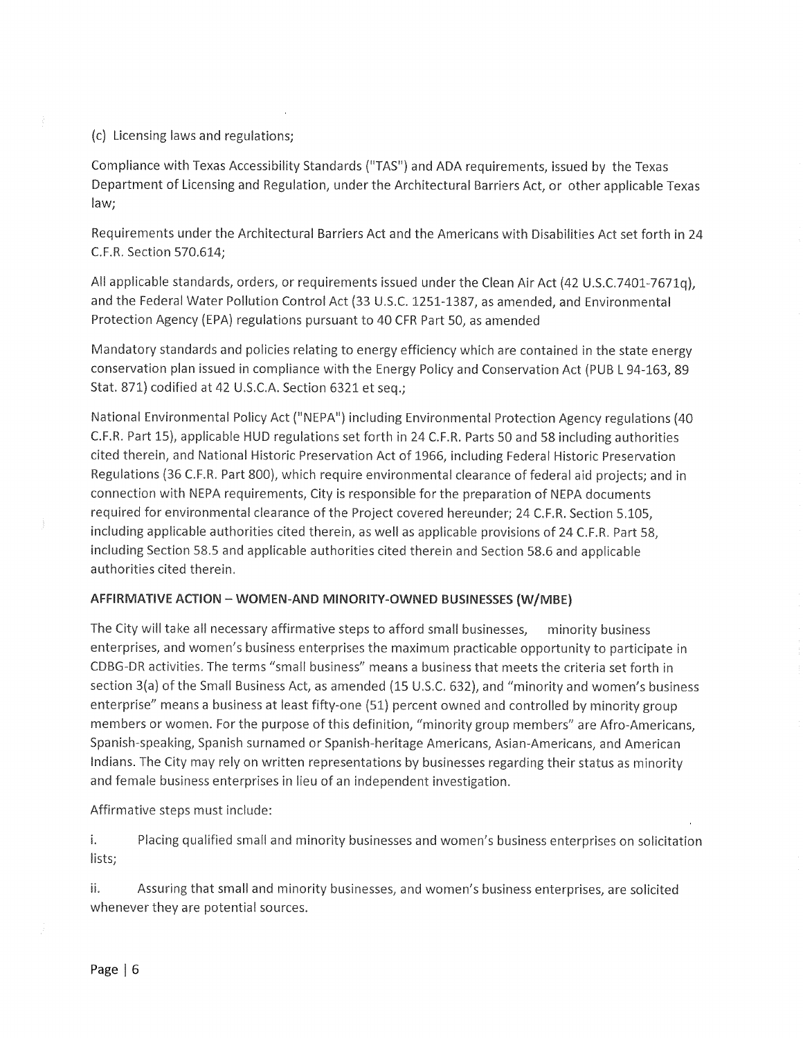(c) Licensing laws and regulations;

Compliance with Texas Accessibility Standards ("TAS") and ADA requirements, issued by the Texas Department of Licensing and Regulation, under the Architectural Barriers Act, or other applicable Texas law;

Requirements under the Architectural Barriers Act and the Americans with Disabilities Act set forth in 24 C.F.R. Section 570.614;

All applicable standards, orders, or requirements issued under the Clean Air Act (42 U.S.C.7401-7671q), and the Federal Water Pollution Control Act (33 U.S.C. 1251-1387, as amended, and Environmental Protection Agency (EPA) regulations pursuant to 40 CFR Part 50, as amended

Mandatory standards and policies relating to energy efficiency which are contained in the state energy conservation plan issued in compliance with the Energy Policy and Conservation Act (PUB L 94-163, 89 Stat. 871) codified at 42 U.S.C.A. Section 6321 et seq.;

National Environmental Policy Act ("NEPA") including Environmental Protection Agency regulations (40 C.F.R. Part 15), applicable HUD regulations set forth in 24 C.F.R. Parts 50 and 58 including authorities cited therein, and National Historic Preservation Act of 1966, including Federal Historic Preservation Regulations (36 C.F.R. Part 800), which require environmental clearance of federal aid projects; and in connection with NEPA requirements, City is responsible for the preparation of NEPA documents required for environmental clearance of the Project covered hereunder; 24 C.F.R. Section 5.105, including applicable authorities cited therein, as well as applicable provisions of 24 C.F.R. Part 58, including Section 58.5 and applicable authorities cited therein and Section 58.6 and applicable authorities cited therein.

## AFFIRMATIVE ACTION - WOMEN-AND MINORITY-OWNED BUSINESSES (W/MBE)

The City will take all necessary affirmative steps to afford small businesses, minority business enterprises, and women's business enterprises the maximum practicable opportunity to participate in CDBG-DR activities. The terms "small business" means a business that meets the criteria set forth in section 3(a) of the Small Business Act, as amended (15 U.S.C. 632), and "minority and women's business enterprise" means a business at least fifty-one (51) percent owned and controlled by minority group members or women. For the purpose of this definition, "minority group members" are Afro-Americans. Spanish-speaking, Spanish surnamed or Spanish-heritage Americans, Asian-Americans, and American Indians. The City may rely on written representations by businesses regarding their status as minority and female business enterprises in lieu of an independent investigation.

Affirmative steps must include:

 $\mathbf{i}$ . Placing qualified small and minority businesses and women's business enterprises on solicitation lists;

ii. Assuring that small and minority businesses, and women's business enterprises, are solicited whenever they are potential sources.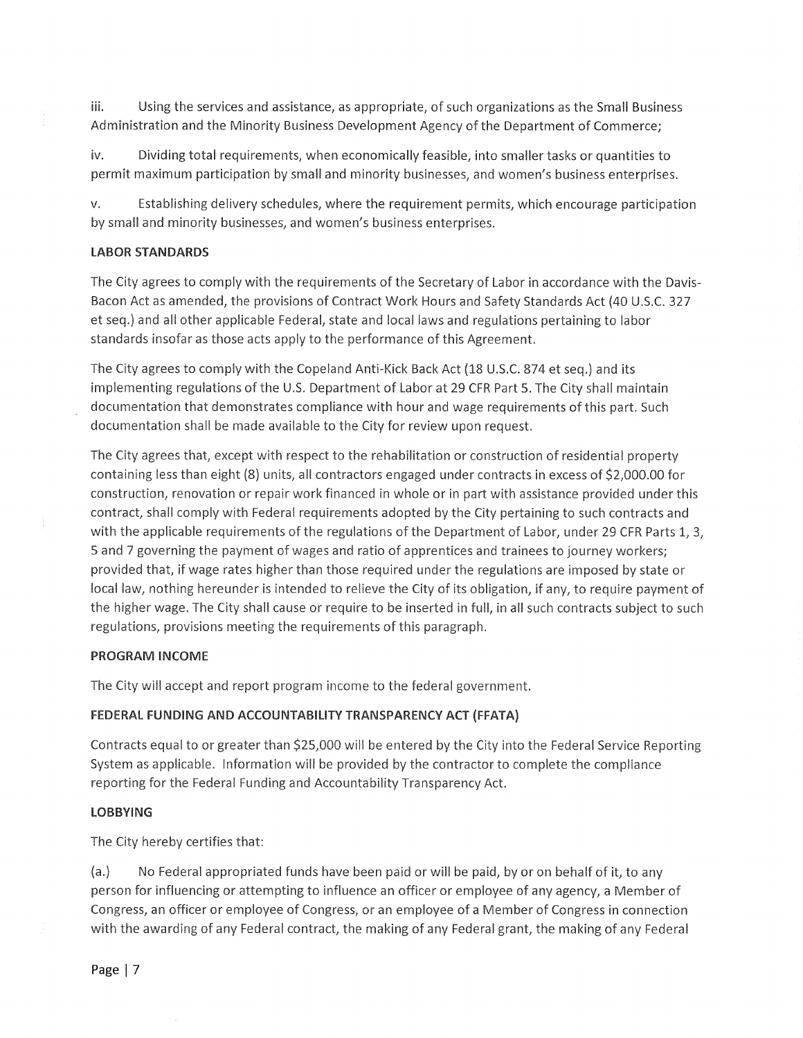iii. Using the services and assistance, as appropriate, of such organizations as the Small Business Administration and the Minority Business Development Agency of the Department of Commerce;

Dividing total requirements, when economically feasible, into smaller tasks or quantities to iv. permit maximum participation by small and minority businesses, and women's business enterprises.

Establishing delivery schedules, where the requirement permits, which encourage participation V. by small and minority businesses, and women's business enterprises.

#### **LABOR STANDARDS**

The City agrees to comply with the requirements of the Secretary of Labor in accordance with the Davis-Bacon Act as amended, the provisions of Contract Work Hours and Safety Standards Act (40 U.S.C. 327 et seq.) and all other applicable Federal, state and local laws and regulations pertaining to labor standards insofar as those acts apply to the performance of this Agreement.

The City agrees to comply with the Copeland Anti-Kick Back Act (18 U.S.C. 874 et seq.) and its implementing regulations of the U.S. Department of Labor at 29 CFR Part 5. The City shall maintain documentation that demonstrates compliance with hour and wage requirements of this part. Such documentation shall be made available to the City for review upon request.

The City agrees that, except with respect to the rehabilitation or construction of residential property containing less than eight (8) units, all contractors engaged under contracts in excess of \$2,000.00 for construction, renovation or repair work financed in whole or in part with assistance provided under this contract, shall comply with Federal requirements adopted by the City pertaining to such contracts and with the applicable requirements of the regulations of the Department of Labor, under 29 CFR Parts 1, 3, 5 and 7 governing the payment of wages and ratio of apprentices and trainees to journey workers; provided that, if wage rates higher than those required under the regulations are imposed by state or local law, nothing hereunder is intended to relieve the City of its obligation, if any, to require payment of the higher wage. The City shall cause or require to be inserted in full, in all such contracts subject to such regulations, provisions meeting the requirements of this paragraph.

#### **PROGRAM INCOME**

The City will accept and report program income to the federal government.

## FEDERAL FUNDING AND ACCOUNTABILITY TRANSPARENCY ACT (FFATA)

Contracts equal to or greater than \$25,000 will be entered by the City into the Federal Service Reporting System as applicable. Information will be provided by the contractor to complete the compliance reporting for the Federal Funding and Accountability Transparency Act.

#### **LOBBYING**

The City hereby certifies that:

 $(a.)$ No Federal appropriated funds have been paid or will be paid, by or on behalf of it, to any person for influencing or attempting to influence an officer or employee of any agency, a Member of Congress, an officer or employee of Congress, or an employee of a Member of Congress in connection with the awarding of any Federal contract, the making of any Federal grant, the making of any Federal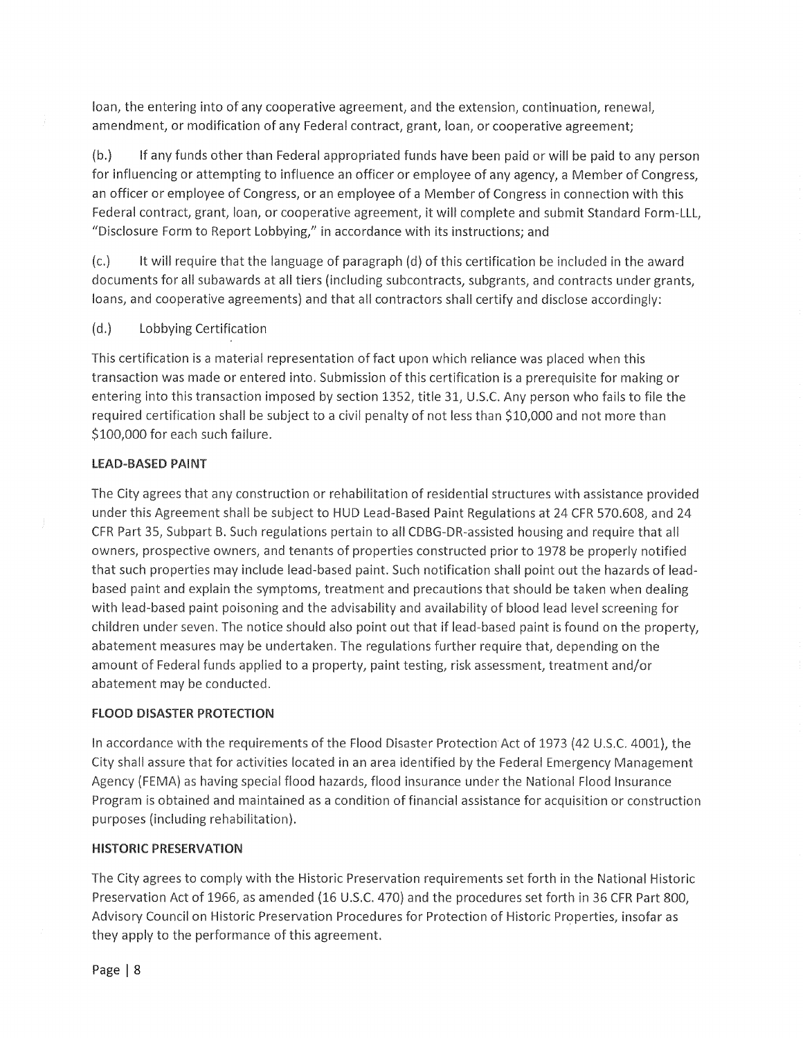loan, the entering into of any cooperative agreement, and the extension, continuation, renewal, amendment, or modification of any Federal contract, grant, loan, or cooperative agreement;

 $(b.)$ If any funds other than Federal appropriated funds have been paid or will be paid to any person for influencing or attempting to influence an officer or employee of any agency, a Member of Congress, an officer or employee of Congress, or an employee of a Member of Congress in connection with this Federal contract, grant, loan, or cooperative agreement, it will complete and submit Standard Form-LLL, "Disclosure Form to Report Lobbying," in accordance with its instructions; and

 $(c.)$ It will require that the language of paragraph (d) of this certification be included in the award documents for all subawards at all tiers (including subcontracts, subgrants, and contracts under grants, loans, and cooperative agreements) and that all contractors shall certify and disclose accordingly:

Lobbying Certification  $(d.)$ 

This certification is a material representation of fact upon which reliance was placed when this transaction was made or entered into. Submission of this certification is a prerequisite for making or entering into this transaction imposed by section 1352, title 31, U.S.C. Any person who fails to file the required certification shall be subject to a civil penalty of not less than \$10,000 and not more than \$100,000 for each such failure.

## **LEAD-BASED PAINT**

The City agrees that any construction or rehabilitation of residential structures with assistance provided under this Agreement shall be subject to HUD Lead-Based Paint Regulations at 24 CFR 570.608, and 24 CFR Part 35, Subpart B. Such regulations pertain to all CDBG-DR-assisted housing and require that all owners, prospective owners, and tenants of properties constructed prior to 1978 be properly notified that such properties may include lead-based paint. Such notification shall point out the hazards of leadbased paint and explain the symptoms, treatment and precautions that should be taken when dealing with lead-based paint poisoning and the advisability and availability of blood lead level screening for children under seven. The notice should also point out that if lead-based paint is found on the property, abatement measures may be undertaken. The regulations further require that, depending on the amount of Federal funds applied to a property, paint testing, risk assessment, treatment and/or abatement may be conducted.

#### **FLOOD DISASTER PROTECTION**

In accordance with the requirements of the Flood Disaster Protection Act of 1973 (42 U.S.C. 4001), the City shall assure that for activities located in an area identified by the Federal Emergency Management Agency (FEMA) as having special flood hazards, flood insurance under the National Flood Insurance Program is obtained and maintained as a condition of financial assistance for acquisition or construction purposes (including rehabilitation).

#### **HISTORIC PRESERVATION**

The City agrees to comply with the Historic Preservation requirements set forth in the National Historic Preservation Act of 1966, as amended (16 U.S.C. 470) and the procedures set forth in 36 CFR Part 800, Advisory Council on Historic Preservation Procedures for Protection of Historic Properties, insofar as they apply to the performance of this agreement.